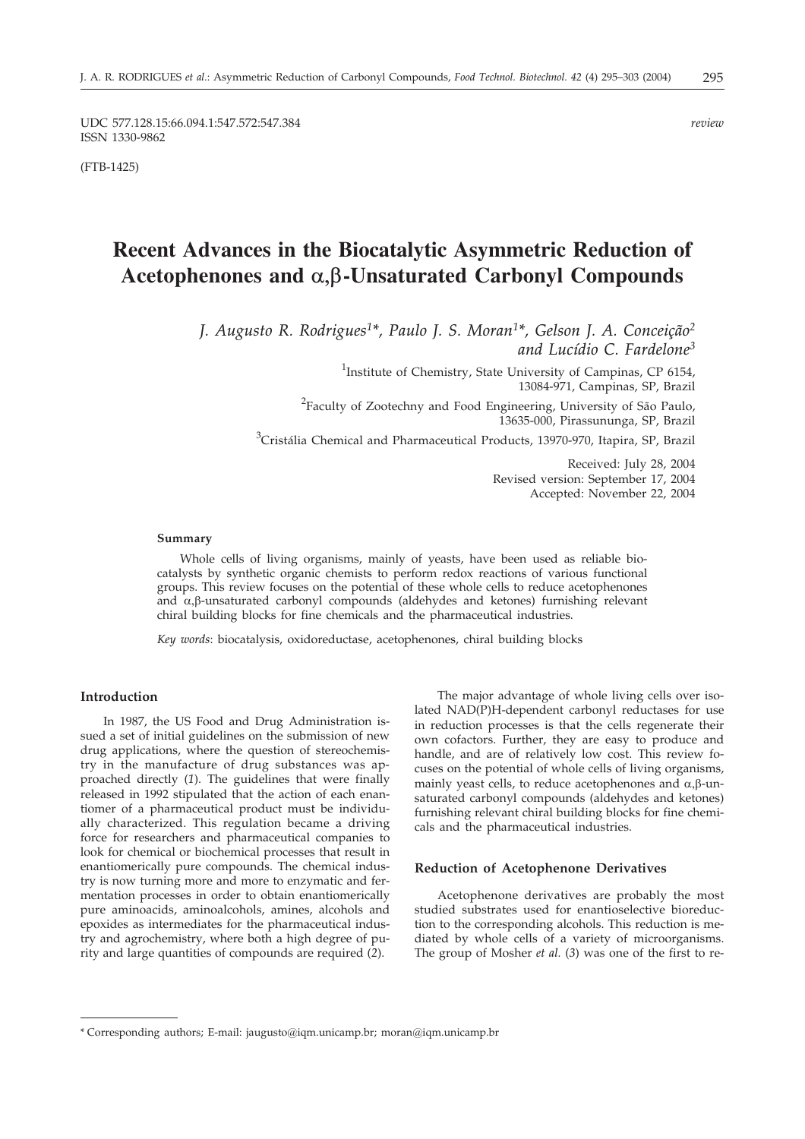UDC 577.128.15:66.094.1:547.572:547.384 *review* ISSN 1330-9862

(FTB-1425)

# **Recent Advances in the Biocatalytic Asymmetric Reduction of** Acetophenones and  $\alpha$ ,  $\beta$ -Unsaturated Carbonyl Compounds

*J. Augusto R. Rodrigues1\*, Paulo J. S. Moran1\*, Gelson J. A. Conceição2 and Lucídio C. Fardelone3*

> <sup>1</sup>Institute of Chemistry, State University of Campinas, CP 6154, 13084-971, Campinas, SP, Brazil <sup>2</sup>Faculty of Zootechny and Food Engineering, University of São Paulo, 13635-000, Pirassununga, SP, Brazil

<sup>3</sup>Cristália Chemical and Pharmaceutical Products, 13970-970, Itapira, SP, Brazil

Received: July 28, 2004 Revised version: September 17, 2004 Accepted: November 22, 2004

#### **Summary**

Whole cells of living organisms, mainly of yeasts, have been used as reliable biocatalysts by synthetic organic chemists to perform redox reactions of various functional groups. This review focuses on the potential of these whole cells to reduce acetophenones and  $\alpha$ ,  $\beta$ -unsaturated carbonyl compounds (aldehydes and ketones) furnishing relevant chiral building blocks for fine chemicals and the pharmaceutical industries.

*Key words*: biocatalysis, oxidoreductase, acetophenones, chiral building blocks

#### **Introduction**

In 1987, the US Food and Drug Administration issued a set of initial guidelines on the submission of new drug applications, where the question of stereochemistry in the manufacture of drug substances was approached directly (*1*). The guidelines that were finally released in 1992 stipulated that the action of each enantiomer of a pharmaceutical product must be individually characterized. This regulation became a driving force for researchers and pharmaceutical companies to look for chemical or biochemical processes that result in enantiomerically pure compounds. The chemical industry is now turning more and more to enzymatic and fermentation processes in order to obtain enantiomerically pure aminoacids, aminoalcohols, amines, alcohols and epoxides as intermediates for the pharmaceutical industry and agrochemistry, where both a high degree of purity and large quantities of compounds are required (*2*).

The major advantage of whole living cells over isolated NAD(P)H-dependent carbonyl reductases for use in reduction processes is that the cells regenerate their own cofactors. Further, they are easy to produce and handle, and are of relatively low cost. This review focuses on the potential of whole cells of living organisms, mainly yeast cells, to reduce acetophenones and  $\alpha,\beta$ -unsaturated carbonyl compounds (aldehydes and ketones) furnishing relevant chiral building blocks for fine chemicals and the pharmaceutical industries.

#### **Reduction of Acetophenone Derivatives**

Acetophenone derivatives are probably the most studied substrates used for enantioselective bioreduction to the corresponding alcohols. This reduction is mediated by whole cells of a variety of microorganisms. The group of Mosher *et al.* (*3*) was one of the first to re-

<sup>\*</sup> Corresponding authors; E-mail: jaugusto@iqm.unicamp.br; moran@iqm.unicamp.br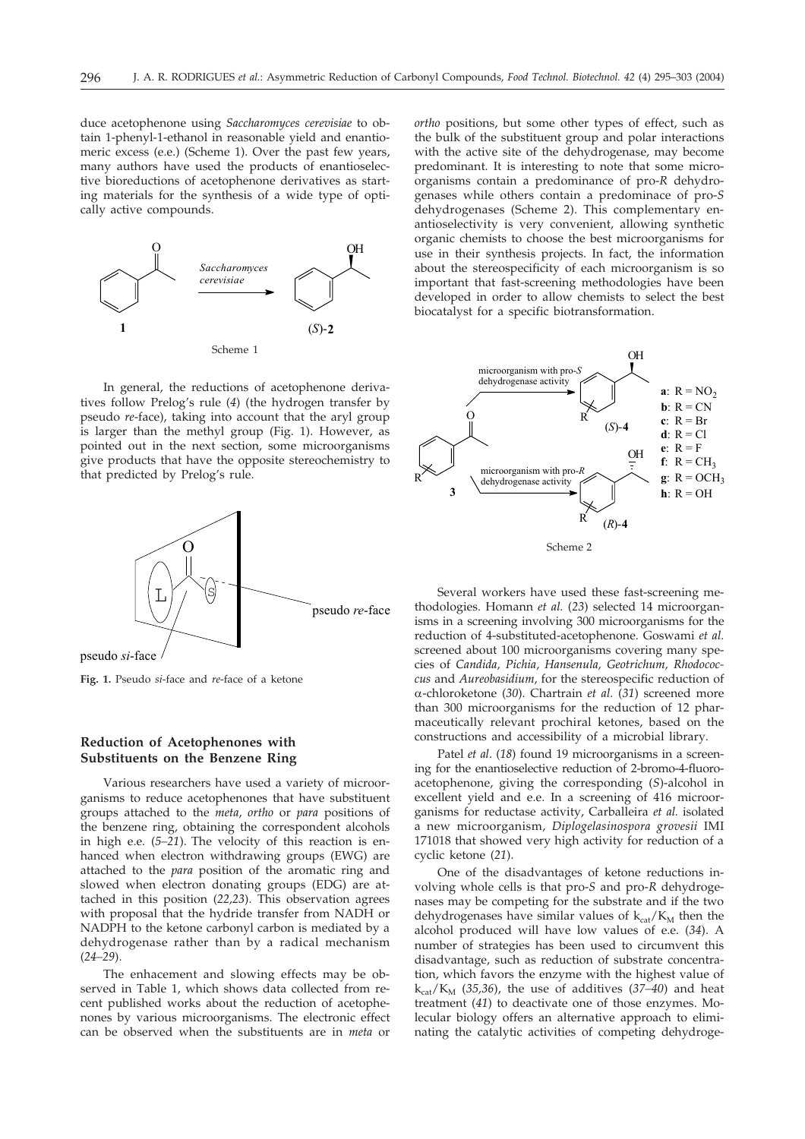duce acetophenone using *Saccharomyces cerevisiae* to obtain 1-phenyl-1-ethanol in reasonable yield and enantiomeric excess (e.e.) (Scheme 1). Over the past few years, many authors have used the products of enantioselective bioreductions of acetophenone derivatives as starting materials for the synthesis of a wide type of optically active compounds.



In general, the reductions of acetophenone derivatives follow Prelog's rule (*4*) (the hydrogen transfer by pseudo *re*-face), taking into account that the aryl group is larger than the methyl group (Fig. 1). However, as pointed out in the next section, some microorganisms give products that have the opposite stereochemistry to that predicted by Prelog's rule.



pseudo si-face

**Fig. 1.** Pseudo *si*-face and *re*-face of a ketone

#### **Reduction of Acetophenones with Substituents on the Benzene Ring**

Various researchers have used a variety of microorganisms to reduce acetophenones that have substituent groups attached to the *meta*, *ortho* or *para* positions of the benzene ring, obtaining the correspondent alcohols in high e.e. (*5–21*). The velocity of this reaction is enhanced when electron withdrawing groups (EWG) are attached to the *para* position of the aromatic ring and slowed when electron donating groups (EDG) are attached in this position (*22,23*). This observation agrees with proposal that the hydride transfer from NADH or NADPH to the ketone carbonyl carbon is mediated by a dehydrogenase rather than by a radical mechanism (*24–29*).

The enhacement and slowing effects may be observed in Table 1, which shows data collected from recent published works about the reduction of acetophenones by various microorganisms. The electronic effect can be observed when the substituents are in *meta* or

*ortho* positions, but some other types of effect, such as the bulk of the substituent group and polar interactions with the active site of the dehydrogenase, may become predominant. It is interesting to note that some microorganisms contain a predominance of pro-*R* dehydrogenases while others contain a predominace of pro-*S* dehydrogenases (Scheme 2). This complementary enantioselectivity is very convenient, allowing synthetic organic chemists to choose the best microorganisms for use in their synthesis projects. In fact, the information about the stereospecificity of each microorganism is so important that fast-screening methodologies have been developed in order to allow chemists to select the best biocatalyst for a specific biotransformation.



Several workers have used these fast-screening methodologies. Homann *et al.* (*23*) selected 14 microorganisms in a screening involving 300 microorganisms for the reduction of 4-substituted-acetophenone. Goswami *et al.* screened about 100 microorganisms covering many species of *Candida, Pichia*, *Hansenula, Geotrichum, Rhodococcus* and *Aureobasidium*, for the stereospecific reduction of -chloroketone (*30*). Chartrain *et al.* (*31*) screened more than 300 microorganisms for the reduction of 12 pharmaceutically relevant prochiral ketones, based on the constructions and accessibility of a microbial library.

Patel *et al*. (*18*) found 19 microorganisms in a screening for the enantioselective reduction of 2-bromo-4-fluoroacetophenone, giving the corresponding (*S*)-alcohol in excellent yield and e.e. In a screening of 416 microorganisms for reductase activity, Carballeira *et al.* isolated a new microorganism, *Diplogelasinospora grovesii* IMI 171018 that showed very high activity for reduction of a cyclic ketone (*21*).

One of the disadvantages of ketone reductions involving whole cells is that pro-*S* and pro-*R* dehydrogenases may be competing for the substrate and if the two dehydrogenases have similar values of  $k_{cat}/K_M$  then the alcohol produced will have low values of e.e. (*34*). A number of strategies has been used to circumvent this disadvantage, such as reduction of substrate concentration, which favors the enzyme with the highest value of  $k_{cat}/K_M$  (35,36), the use of additives (37–40) and heat treatment (*41*) to deactivate one of those enzymes. Molecular biology offers an alternative approach to eliminating the catalytic activities of competing dehydroge-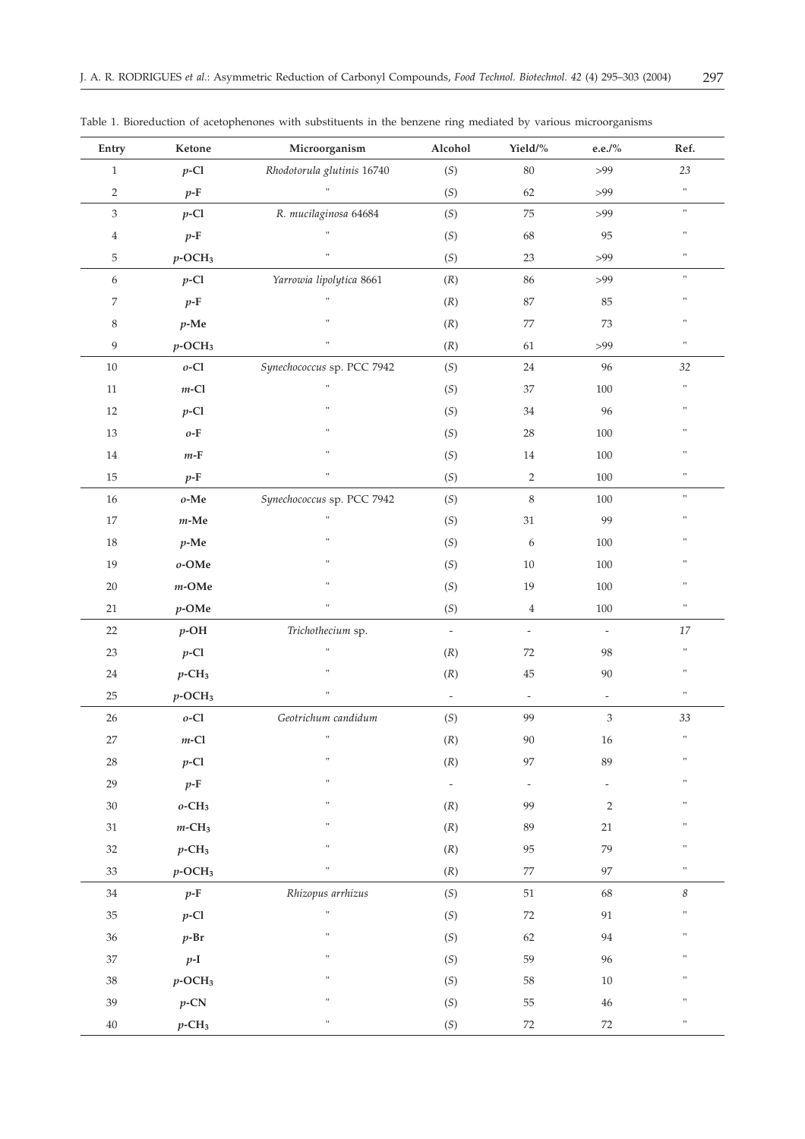| Entry          | Ketone                          | Microorganism              | Alcohol                  | Yield/%                  | e.e./ $\%$                  | Ref.                       |
|----------------|---------------------------------|----------------------------|--------------------------|--------------------------|-----------------------------|----------------------------|
| $\mathbf{1}$   | $p$ -Cl                         | Rhodotorula glutinis 16740 | $(S)$                    | 80                       | >99                         | 23                         |
| $\sqrt{2}$     | $p$ -F                          | H.                         | (S)                      | 62                       | $>99$                       | $\pmb{\pi}$                |
| 3              | $p$ -Cl                         | R. mucilaginosa 64684      | (S)                      | 75                       | >99                         | $\boldsymbol{\mathsf{H}}$  |
| $\overline{4}$ | $p$ -F                          | Ħ                          | (S)                      | 68                       | 95                          | $\pmb{\pi}$                |
| 5              | $p$ -OCH <sub>3</sub>           | Ħ                          | (S)                      | $23\,$                   | >99                         | $\boldsymbol{\mathsf{H}}$  |
| 6              | $p$ -Cl                         | Yarrowia lipolytica 8661   | (R)                      | 86                       | >99                         | $\boldsymbol{\mathsf{H}}$  |
| 7              | $p$ -F                          |                            | (R)                      | 87                       | 85                          | $\pmb{\pi}$                |
| $\,$ 8 $\,$    | $p$ -Me                         | Ħ                          | (R)                      | 77                       | 73                          | $\pmb{\pi}$                |
| 9              | $p$ -OCH <sub>3</sub>           | H.                         | (R)                      | 61                       | >99                         | $\pmb{\pi}$                |
| $10\,$         | $o$ -Cl                         | Synechococcus sp. PCC 7942 | (S)                      | $24\,$                   | 96                          | 32                         |
| $11\,$         | $m\text{-}\mathrm{Cl}$          | Ħ                          | (S)                      | 37                       | 100                         | $\pmb{\pi}$                |
| $12\,$         | $p$ -Cl                         | Ħ                          | (S)                      | 34                       | 96                          | $\pmb{\pi}$                |
| 13             | $o\text{-}\mathbf{F}$           | Ħ                          | (S)                      | 28                       | 100                         | $\pmb{\pi}$                |
| $14\,$         | $m\mbox{-}\mathrm{F}$           | Ħ                          | (S)                      | 14                       | 100                         | $\pmb{\scriptstyle{11}}$   |
| $15\,$         | $p$ -F                          | Ħ                          | (S)                      | $\sqrt{2}$               | $100\,$                     | $\pmb{\pi}$                |
| $16\,$         | $o\text{-}\mathbf{M}\mathbf{e}$ | Synechococcus sp. PCC 7942 | (S)                      | $\,8\,$                  | 100                         | $\boldsymbol{\mathsf{H}}$  |
| $17\,$         | $m\mbox{-}\mathbf{M}\mathbf{e}$ | Ħ                          | (S)                      | $31\,$                   | 99                          | $\pmb{\pi}$                |
| $18\,$         | $p$ -Me                         | Ħ                          | (S)                      | 6                        | 100                         | $\pmb{\scriptstyle{11}}$   |
| 19             | $o\text{-OMe}$                  | Ħ                          | (S)                      | $10\,$                   | 100                         | $\pmb{\scriptstyle{11}}$   |
| $20\,$         | $m\text{-}\mathrm{OMe}$         | Ħ                          | (S)                      | 19                       | 100                         | $\pmb{\scriptstyle{11}}$   |
| $21\,$         | $p$ -OMe                        | Ĥ,                         | (S)                      | $\,4$                    | $100\,$                     | $\pmb{\mathfrak{m}}$       |
| $22\,$         | $p$ -OH                         | Trichothecium sp.          | $\bar{\phantom{a}}$      | $\overline{\phantom{a}}$ | $\overline{\phantom{a}}$    | 17                         |
| $23\,$         | $p$ -Cl                         | Ħ                          | (R)                      | 72                       | 98                          | $\pmb{\pi}$                |
| $24\,$         | $p$ -CH <sub>3</sub>            | Ħ                          | (R)                      | $45\,$                   | $90\,$                      | $\pmb{\pi}$                |
| $25\,$         | $p$ -OCH <sub>3</sub>           | Ħ                          | $\overline{\phantom{a}}$ | $\overline{\phantom{a}}$ | $\overline{\phantom{a}}$    | $\boldsymbol{\mathsf{u}}$  |
| $26\,$         | $o$ -Cl                         | Geotrichum candidum        | (S)                      | 99                       | $\ensuremath{\mathfrak{Z}}$ | 33                         |
| 27             | $m\text{-}\mathrm{Cl}$          | Ħ                          | (R)                      | 90                       | $16\,$                      | $\boldsymbol{\mathsf{H}}$  |
| $28\,$         | $p$ -Cl                         | Ħ                          | (R)                      | 97                       | 89                          | $\pmb{\pi}$                |
| 29             | $p$ -F                          | Ħ                          | $\bar{\phantom{a}}$      | $\overline{\phantom{a}}$ | $\overline{\phantom{a}}$    | $\pmb{\pi}$                |
| $30\,$         | $o$ -CH <sub>3</sub>            | Ħ                          | (R)                      | 99                       | $\overline{2}$              | $\pmb{\pi}$                |
| $31\,$         | $m$ -CH <sub>3</sub>            | Ħ                          | (R)                      | 89                       | 21                          | $\pmb{\pi}$                |
| 32             | $p$ -CH <sub>3</sub>            | Ħ                          | (R)                      | 95                       | 79                          | $\mathbf{H}$               |
| 33             | $p$ -OCH <sub>3</sub>           | Ħ                          | (R)                      | 77                       | 97                          | $\pmb{\pi}$                |
| $34\,$         | $p$ -F                          | Rhizopus arrhizus          | (S)                      | 51                       | 68                          | $\boldsymbol{\mathcal{S}}$ |
| $35\,$         | $p$ -Cl                         | $\bar{\rm H}$              | (S)                      | $72\,$                   | 91                          | $\pmb{\pi}$                |
| $36\,$         | $p$ -Br                         | Ħ                          | (S)                      | 62                       | 94                          | $\pmb{\pi}$                |
| $37\,$         | $p-I$                           | Ħ                          | (S)                      | 59                       | 96                          | $\boldsymbol{\mathsf{H}}$  |
| 38             | $p$ -OCH <sub>3</sub>           | Ħ                          | (S)                      | 58                       | 10                          | $\pmb{\pi}$                |
| 39             | $p$ -CN                         | Ħ                          | (S)                      | 55                       | 46                          | $\pmb{\scriptstyle{11}}$   |
| $40\,$         | $p$ -CH <sub>3</sub>            | $\boldsymbol{\mathsf{u}}$  | (S)                      | 72                       | $72\,$                      | $\boldsymbol{\mathsf{H}}$  |

Table 1. Bioreduction of acetophenones with substituents in the benzene ring mediated by various microorganisms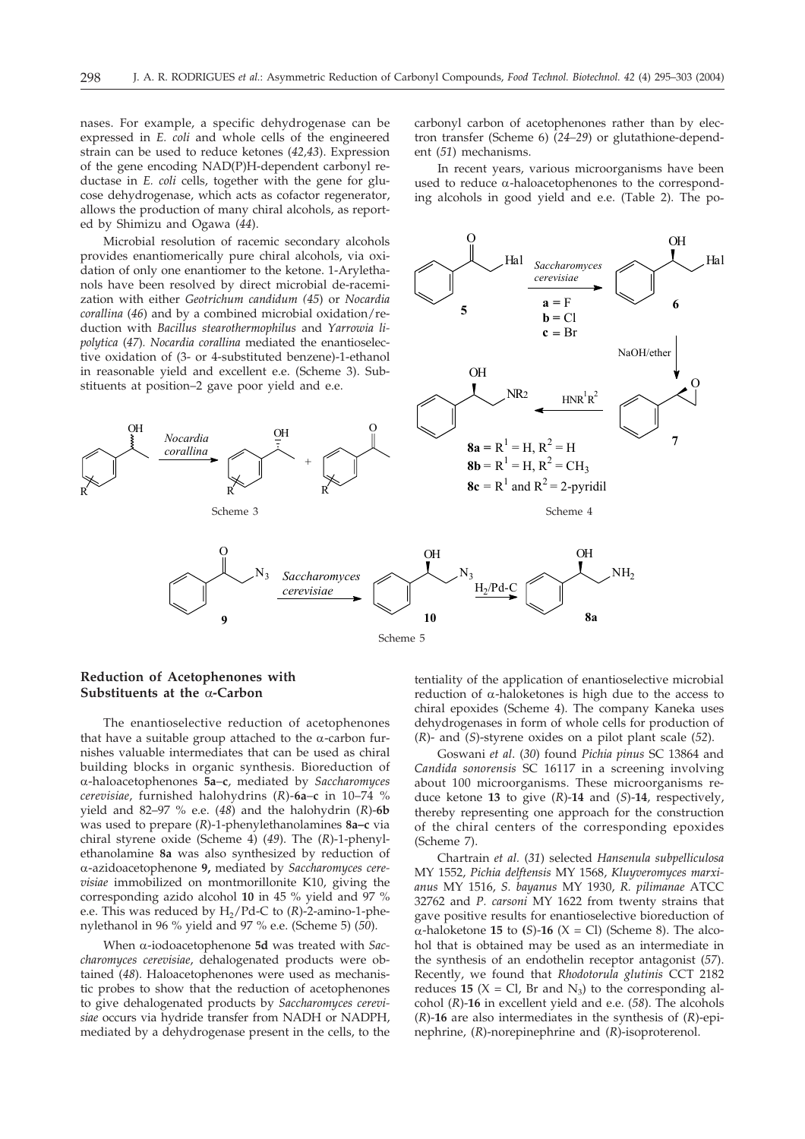nases. For example, a specific dehydrogenase can be expressed in *E. coli* and whole cells of the engineered strain can be used to reduce ketones (*42,43*). Expression of the gene encoding NAD(P)H-dependent carbonyl reductase in *E. coli* cells, together with the gene for glucose dehydrogenase, which acts as cofactor regenerator, allows the production of many chiral alcohols, as reported by Shimizu and Ogawa (*44*).

provides enantiomerically pure chiral alcohols, via oxidation of only one enantiomer to the ketone. 1-Arylethanols have been resolved by direct microbial de-racemization with either *Geotrichum candidum (45*) or *Nocardia corallina* (*46*) and by a combined microbial oxidation/reduction with *Bacillus stearothermophilus* and *Yarrowia lipolytica* (*47*)*. Nocardia corallina* mediated the enantioselective oxidation of (3- or 4-substituted benzene)-1-ethanol in reasonable yield and excellent e.e. (Scheme 3). Substituents at position–2 gave poor yield and e.e.

carbonyl carbon of acetophenones rather than by electron transfer (Scheme 6) (*24–29*) or glutathione-dependent (*51*) mechanisms.

In recent years, various microorganisms have been used to reduce  $\alpha$ -haloacetophenones to the corresponding alcohols in good yield and e.e. (Table 2). The po-



### **Reduction of Acetophenones with** Substituents at the  $\alpha$ -Carbon

The enantioselective reduction of acetophenones that have a suitable group attached to the  $\alpha$ -carbon furnishes valuable intermediates that can be used as chiral building blocks in organic synthesis. Bioreduction of -haloacetophenones **5a**–**c**, mediated by *Saccharomyces cerevisiae*, furnished halohydrins (*R*)-**6a**–**c** in 10–74 % yield and 82–97 % e.e. (*48*) and the halohydrin (*R*)-**6b** was used to prepare (*R*)-1-phenylethanolamines **8a–c** via chiral styrene oxide (Scheme 4) (*49*). The (*R*)-1-phenylethanolamine **8a** was also synthesized by reduction of -azidoacetophenone **9,** mediated by *Saccharomyces cerevisiae* immobilized on montmorillonite K10, giving the corresponding azido alcohol **10** in 45 % yield and 97 % e.e. This was reduced by H<sub>2</sub>/Pd-C to (R)-2-amino-1-phenylethanol in 96 % yield and 97 % e.e. (Scheme 5) (*50*).

When  $\alpha$ -iodoacetophenone  $5d$  was treated with *Saccharomyces cerevisiae*, dehalogenated products were obtained (*48*). Haloacetophenones were used as mechanistic probes to show that the reduction of acetophenones to give dehalogenated products by *Saccharomyces cerevisiae* occurs via hydride transfer from NADH or NADPH, mediated by a dehydrogenase present in the cells, to the

tentiality of the application of enantioselective microbial reduction of  $\alpha$ -haloketones is high due to the access to chiral epoxides (Scheme 4). The company Kaneka uses dehydrogenases in form of whole cells for production of (*R*)- and (*S*)-styrene oxides on a pilot plant scale (*52*).

Goswani *et al*. (*30*) found *Pichia pinus* SC 13864 and *Candida sonorensis* SC 16117 in a screening involving about 100 microorganisms. These microorganisms reduce ketone **13** to give (*R*)-**14** and (*S*)-**14**, respectively, thereby representing one approach for the construction of the chiral centers of the corresponding epoxides (Scheme 7).

Chartrain *et al.* (*31*) selected *Hansenula subpelliculosa* MY 1552, *Pichia delftensis* MY 1568, *Kluyveromyces marxianus* MY 1516, *S. bayanus* MY 1930, *R. pilimanae* ATCC 32762 and *P. carsoni* MY 1622 from twenty strains that gave positive results for enantioselective bioreduction of  $\alpha$ -haloketone **15** to (*S*)-**16** (*X* = Cl) (Scheme 8). The alcohol that is obtained may be used as an intermediate in the synthesis of an endothelin receptor antagonist (*57*). Recently, we found that *Rhodotorula glutinis* CCT 2182 reduces **15** ( $X = Cl$ , Br and  $N_3$ ) to the corresponding alcohol (*R*)-**16** in excellent yield and e.e. (*58*). The alcohols (*R*)-**16** are also intermediates in the synthesis of (*R*)-epinephrine, (*R*)-norepinephrine and (*R*)-isoproterenol.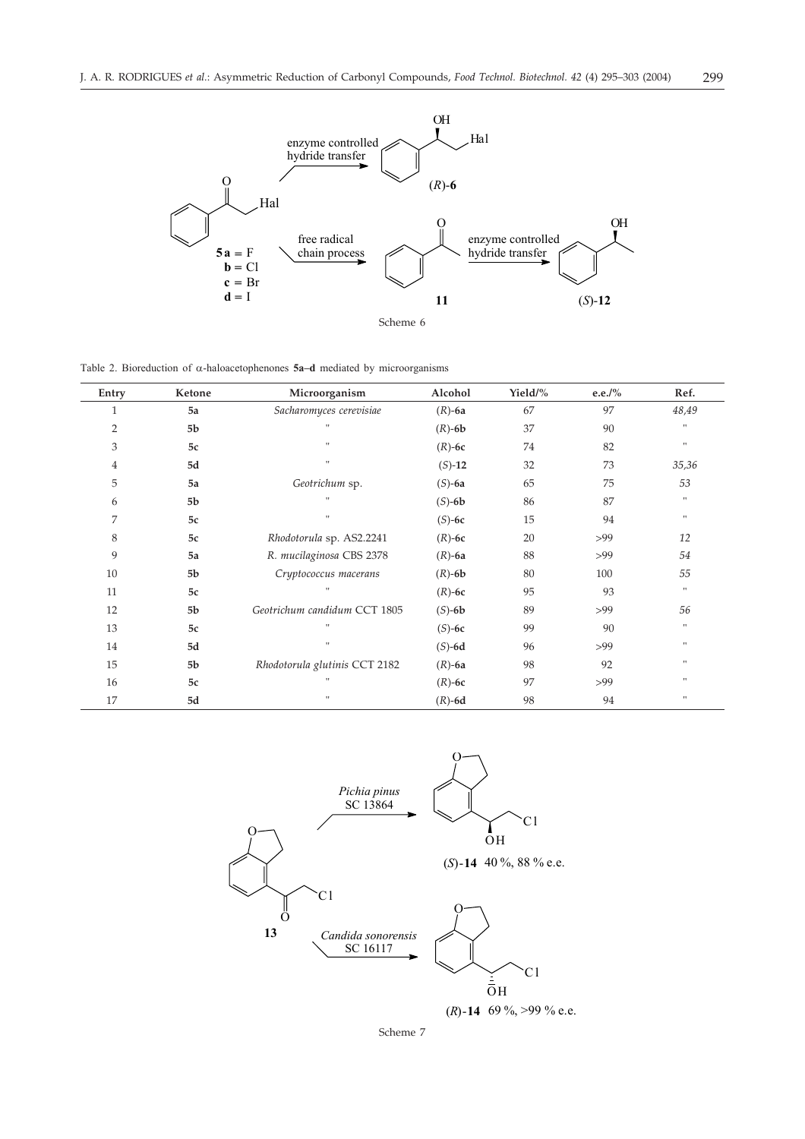

Table 2. Bioreduction of  $\alpha$ -haloacetophenones **5a-d** mediated by microorganisms

| Entry          | Ketone         | Microorganism                 | Alcohol      | Yield/% | e.e./ $\%$ | Ref.         |
|----------------|----------------|-------------------------------|--------------|---------|------------|--------------|
| 1              | 5a             | Sacharomyces cerevisiae       | $(R)$ -6a    | 67      | 97         | 48,49        |
| 2              | 5 <sub>b</sub> | $\mathbf{H}$                  | $(R)$ -6 $b$ | 37      | 90         | $\mathbf{H}$ |
| 3              | 5c             | $\mathbf{H}$                  | $(R)$ -6 $c$ | 74      | 82         | $\mathbf{H}$ |
| $\overline{4}$ | 5d             | $\mathbf{H}$                  | $(S)-12$     | 32      | 73         | 35,36        |
| 5              | 5a             | Geotrichum sp.                | $(S)-6a$     | 65      | 75         | 53           |
| 6              | 5 <sub>b</sub> | $\mathbf{u}$                  | $(S)-6b$     | 86      | 87         | 11           |
| 7              | 5c             | $\mathbf{H}$                  | $(S)-6c$     | 15      | 94         | 11           |
| 8              | 5c             | Rhodotorula sp. AS2.2241      | $(R)$ -6 $c$ | 20      | >99        | 12           |
| 9              | 5a             | R. mucilaginosa CBS 2378      | $(R)$ -6a    | 88      | >99        | 54           |
| 10             | 5b             | Cryptococcus macerans         | $(R)$ -6 $b$ | 80      | 100        | 55           |
| 11             | 5c             | $\mathbf{u}$                  | $(R)$ -6 $c$ | 95      | 93         | $\mathbf{H}$ |
| 12             | 5 <sub>b</sub> | Geotrichum candidum CCT 1805  | $(S)-6b$     | 89      | >99        | 56           |
| 13             | 5c             | $\mathbf{u}$                  | $(S)-6c$     | 99      | 90         | $\mathbf{H}$ |
| 14             | 5d             | $\mathbf{u}$                  | $(S)-6d$     | 96      | >99        | 11           |
| 15             | 5 <sub>b</sub> | Rhodotorula glutinis CCT 2182 | $(R)$ -6a    | 98      | 92         | 11           |
| 16             | 5c             | $\mathbf{H}$                  | $(R)$ -6c    | 97      | >99        | $\mathbf{H}$ |
| 17             | 5d             | $\mathbf{u}$                  | $(R)$ -6d    | 98      | 94         | $\mathbf{H}$ |



Scheme 7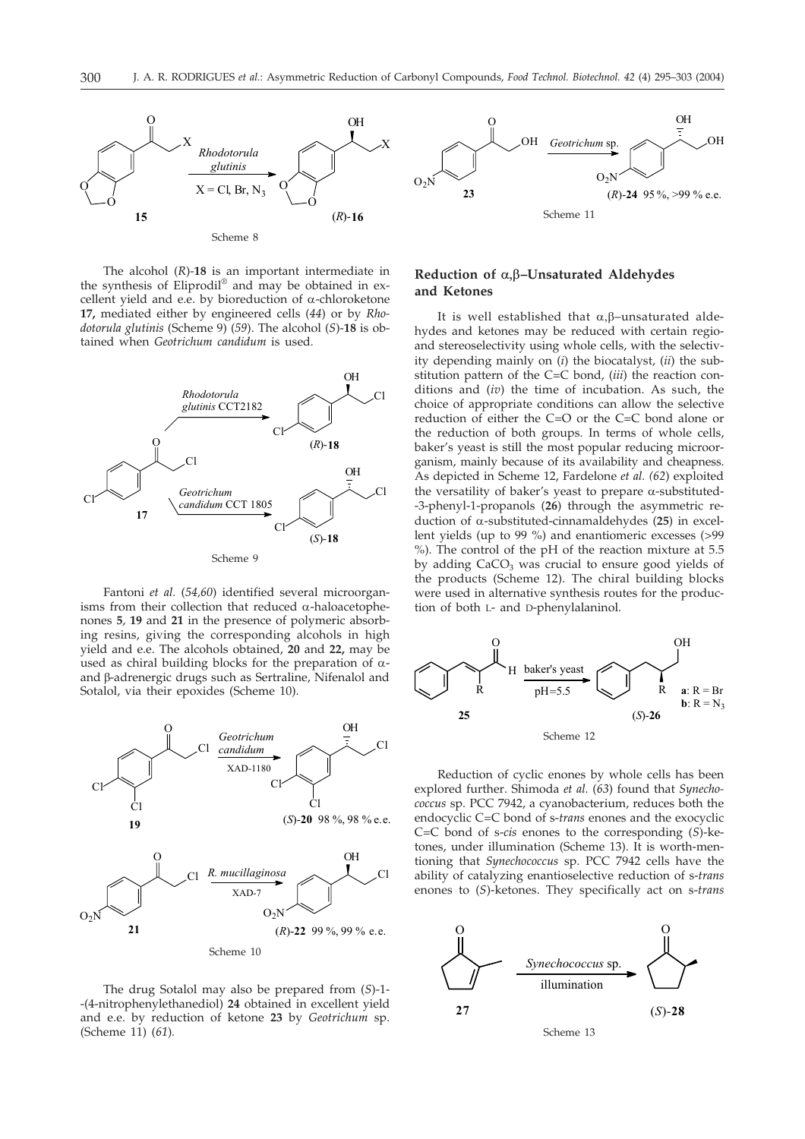

The alcohol (*R*)-**18** is an important intermediate in the synthesis of Eliprodil® and may be obtained in excellent yield and e.e. by bioreduction of  $\alpha$ -chloroketone **17,** mediated either by engineered cells (*44*) or by *Rhodotorula glutinis* (Scheme 9) (*59*). The alcohol (*S*)-**18** is obtained when *Geotrichum candidum* is used*.*



Fantoni *et al.* (*54,60*) identified several microorganisms from their collection that reduced  $\alpha$ -haloacetophenones **5**, **19** and **21** in the presence of polymeric absorbing resins, giving the corresponding alcohols in high yield and e.e. The alcohols obtained, **20** and **22,** may be used as chiral building blocks for the preparation of  $\alpha$ and  $\beta$ -adrenergic drugs such as Sertraline, Nifenalol and Sotalol, via their epoxides (Scheme 10).



The drug Sotalol may also be prepared from (*S*)-1- -(4-nitrophenylethanediol) **24** obtained in excellent yield and e.e. by reduction of ketone **23** by *Geotrichum* sp. (Scheme 11) (*61*)*.*



#### $\textbf{Reduction of }\alpha,\beta\textbf{-Unsaturated Aldehyde}$ **and Ketones**

It is well established that  $\alpha, \beta$ –unsaturated aldehydes and ketones may be reduced with certain regioand stereoselectivity using whole cells, with the selectivity depending mainly on (*i*) the biocatalyst, (*ii*) the substitution pattern of the C=C bond, (*iii*) the reaction conditions and (*iv*) the time of incubation. As such, the choice of appropriate conditions can allow the selective reduction of either the C=O or the C=C bond alone or the reduction of both groups. In terms of whole cells, baker's yeast is still the most popular reducing microorganism, mainly because of its availability and cheapness. As depicted in Scheme 12, Fardelone *et al. (62*) exploited the versatility of baker's yeast to prepare  $\alpha$ -substituted--3-phenyl-1-propanols (**26**) through the asymmetric reduction of  $\alpha$ -substituted-cinnamaldehydes (25) in excellent yields (up to 99 %) and enantiomeric excesses (>99 %). The control of the pH of the reaction mixture at 5.5 by adding  $CaCO<sub>3</sub>$  was crucial to ensure good yields of the products (Scheme 12). The chiral building blocks were used in alternative synthesis routes for the production of both L- and D-phenylalaninol.



Reduction of cyclic enones by whole cells has been explored further. Shimoda *et al.* (*63*) found that *Synechococcus* sp. PCC 7942, a cyanobacterium, reduces both the endocyclic C=C bond of s-*trans* enones and the exocyclic C=C bond of s-*cis* enones to the corresponding (*S*)-ketones, under illumination (Scheme 13). It is worth-mentioning that *Synechococcus* sp. PCC 7942 cells have the ability of catalyzing enantioselective reduction of s-*trans* enones to (*S*)-ketones. They specifically act on s-*trans*



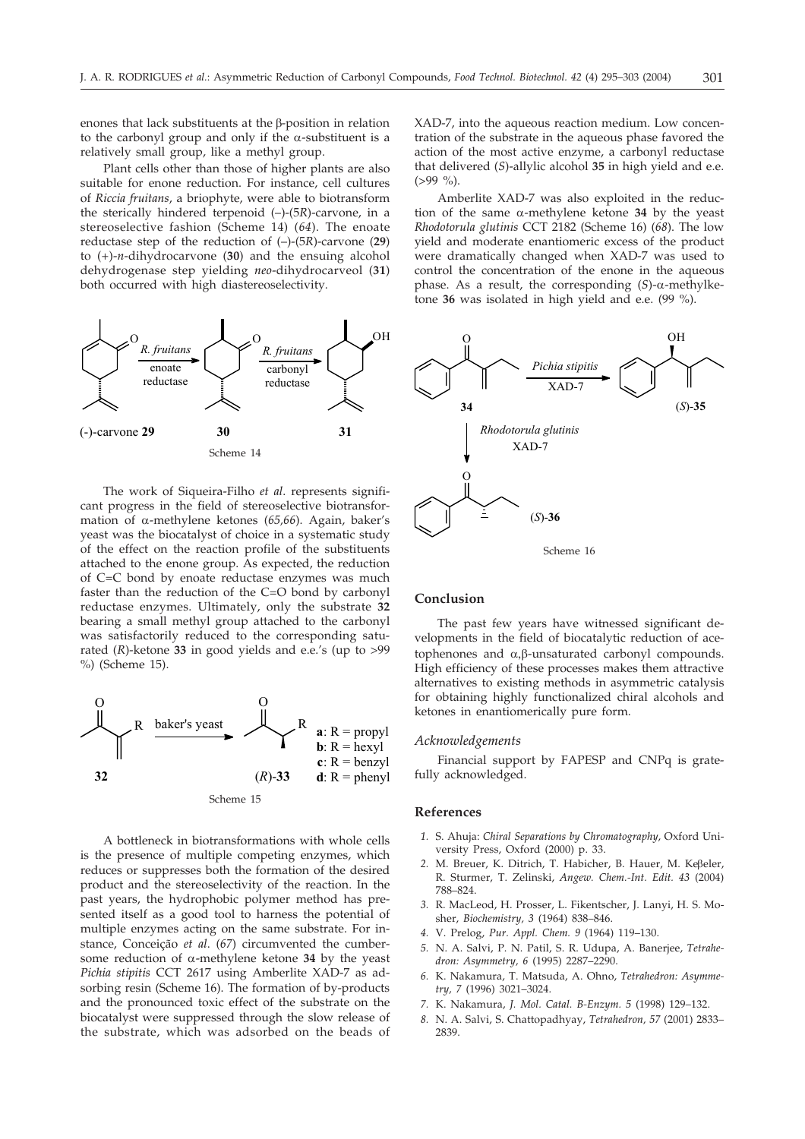enones that lack substituents at the  $\beta$ -position in relation to the carbonyl group and only if the  $\alpha$ -substituent is a relatively small group, like a methyl group.

Plant cells other than those of higher plants are also suitable for enone reduction. For instance, cell cultures of *Riccia fruitans*, a briophyte, were able to biotransform the sterically hindered terpenoid (–)-(5*R*)-carvone, in a stereoselective fashion (Scheme 14) (*64*). The enoate reductase step of the reduction of (–)-(5*R*)-carvone (**29**) to (+)-*n*-dihydrocarvone (**30**) and the ensuing alcohol dehydrogenase step yielding *neo*-dihydrocarveol (**31**) both occurred with high diastereoselectivity.



The work of Siqueira-Filho *et al*. represents significant progress in the field of stereoselective biotransformation of  $\alpha$ -methylene ketones (65,66). Again, baker's yeast was the biocatalyst of choice in a systematic study of the effect on the reaction profile of the substituents attached to the enone group. As expected, the reduction of C=C bond by enoate reductase enzymes was much faster than the reduction of the C=O bond by carbonyl reductase enzymes. Ultimately, only the substrate **32** bearing a small methyl group attached to the carbonyl was satisfactorily reduced to the corresponding saturated (*R*)-ketone **33** in good yields and e.e.'s (up to >99 %) (Scheme 15).



A bottleneck in biotransformations with whole cells is the presence of multiple competing enzymes, which reduces or suppresses both the formation of the desired product and the stereoselectivity of the reaction. In the past years, the hydrophobic polymer method has presented itself as a good tool to harness the potential of multiple enzymes acting on the same substrate. For instance, Conceição *et al*. (*67*) circumvented the cumbersome reduction of  $\alpha$ -methylene ketone 34 by the yeast *Pichia stipitis* CCT 2617 using Amberlite XAD-7 as adsorbing resin (Scheme 16). The formation of by-products and the pronounced toxic effect of the substrate on the biocatalyst were suppressed through the slow release of the substrate, which was adsorbed on the beads of

XAD-7, into the aqueous reaction medium. Low concentration of the substrate in the aqueous phase favored the action of the most active enzyme, a carbonyl reductase that delivered (*S*)-allylic alcohol **35** in high yield and e.e.  $(>99\%).$ 

Amberlite XAD-7 was also exploited in the reduction of the same  $\alpha$ -methylene ketone 34 by the yeast *Rhodotorula glutinis* CCT 2182 (Scheme 16) (*68*). The low yield and moderate enantiomeric excess of the product were dramatically changed when XAD-7 was used to control the concentration of the enone in the aqueous phase. As a result, the corresponding  $(S)$ - $\alpha$ -methylketone **36** was isolated in high yield and e.e. (99 %).



#### **Conclusion**

The past few years have witnessed significant developments in the field of biocatalytic reduction of acetophenones and  $\alpha$ , $\beta$ -unsaturated carbonyl compounds. High efficiency of these processes makes them attractive alternatives to existing methods in asymmetric catalysis for obtaining highly functionalized chiral alcohols and ketones in enantiomerically pure form.

#### *Acknowledgements*

Financial support by FAPESP and CNPq is gratefully acknowledged.

#### **References**

- *1.* S. Ahuja: *Chiral Separations by Chromatography*, Oxford University Press, Oxford (2000) p. 33.
- 2. M. Breuer, K. Ditrich, T. Habicher, B. Hauer, M. Keßeler, R. Sturmer, T. Zelinski, *Angew. Chem.-Int. Edit. 43* (2004) 788–824.
- *3.* R. MacLeod, H. Prosser, L. Fikentscher, J. Lanyi, H. S. Mosher, *Biochemistry, 3* (1964) 838–846.
- *4.* V. Prelog, *Pur. Appl. Chem. 9* (1964) 119–130.
- *5.* N. A. Salvi, P. N. Patil, S. R. Udupa, A. Banerjee, *Tetrahedron: Asymmetry, 6* (1995) 2287–2290.
- *6.* K. Nakamura, T. Matsuda, A. Ohno, *Tetrahedron: Asymmetry, 7* (1996) 3021–3024.
- *7.* K. Nakamura, *J. Mol. Catal. B-Enzym. 5* (1998) 129–132.
- *8.* N. A. Salvi, S. Chattopadhyay, *Tetrahedron, 57* (2001) 2833– 2839.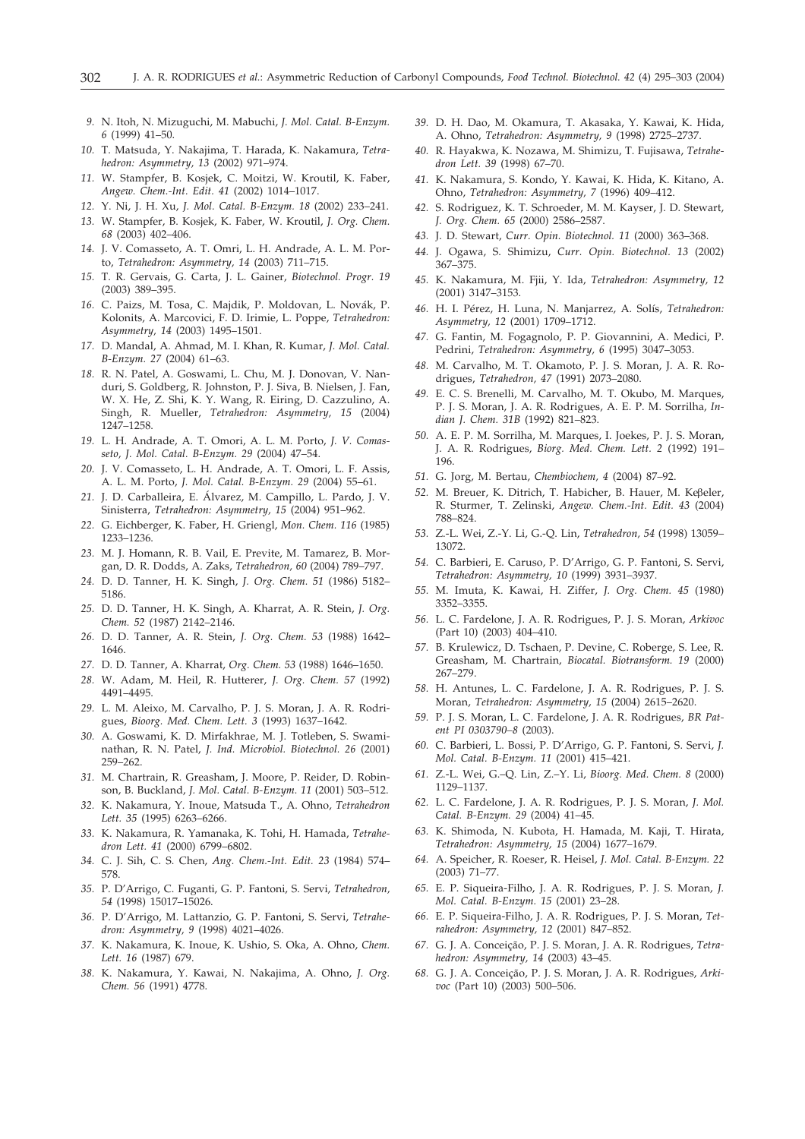- *9.* N. Itoh, N. Mizuguchi, M. Mabuchi, *J. Mol. Catal. B-Enzym. 6* (1999) 41–50.
- *10.* T. Matsuda, Y. Nakajima, T. Harada, K. Nakamura, *Tetrahedron: Asymmetry, 13* (2002) 971–974.
- *11.* W. Stampfer, B. Kosjek, C. Moitzi, W. Kroutil, K. Faber, *Angew. Chem.-Int. Edit. 41* (2002) 1014–1017.
- *12.* Y. Ni, J. H. Xu, *J. Mol. Catal. B-Enzym. 18* (2002) 233–241.
- *13.* W. Stampfer, B. Kosjek, K. Faber, W. Kroutil, *J. Org. Chem. 68* (2003) 402–406.
- *14.* J. V. Comasseto, A. T. Omri, L. H. Andrade, A. L. M. Porto, *Tetrahedron: Asymmetry, 14* (2003) 711–715.
- *15.* T. R. Gervais, G. Carta, J. L. Gainer, *Biotechnol. Progr. 19* (2003) 389–395.
- *16.* C. Paizs, M. Tosa, C. Majdik, P. Moldovan, L. Novák, P. Kolonits, A. Marcovici, F. D. Irimie, L. Poppe, *Tetrahedron: Asymmetry, 14* (2003) 1495–1501.
- *17.* D. Mandal, A. Ahmad, M. I. Khan, R. Kumar, *J. Mol. Catal. B-Enzym. 27* (2004) 61–63.
- *18.* R. N. Patel, A. Goswami, L. Chu, M. J. Donovan, V. Nanduri, S. Goldberg, R. Johnston, P. J. Siva, B. Nielsen, J. Fan, W. X. He, Z. Shi, K. Y. Wang, R. Eiring, D. Cazzulino, A. Singh, R. Mueller, *Tetrahedron: Asymmetry, 15* (2004) 1247–1258.
- *19.* L. H. Andrade, A. T. Omori, A. L. M. Porto, *J. V. Comasseto, J. Mol. Catal. B-Enzym. 29* (2004) 47–54.
- *20.* J. V. Comasseto, L. H. Andrade, A. T. Omori, L. F. Assis, A. L. M. Porto, *J. Mol. Catal. B-Enzym. 29* (2004) 55–61.
- *21.* J. D. Carballeira, E. Álvarez, M. Campillo, L. Pardo, J. V. Sinisterra, *Tetrahedron: Asymmetry, 15* (2004) 951–962.
- *22.* G. Eichberger, K. Faber, H. Griengl, *Mon. Chem. 116* (1985) 1233–1236.
- *23.* M. J. Homann, R. B. Vail, E. Previte, M. Tamarez, B. Morgan, D. R. Dodds, A. Zaks, *Tetrahedron, 60* (2004) 789–797.
- *24.* D. D. Tanner, H. K. Singh, *J. Org. Chem. 51* (1986) 5182– 5186.
- *25.* D. D. Tanner, H. K. Singh, A. Kharrat, A. R. Stein, *J. Org. Chem. 52* (1987) 2142–2146.
- *26.* D. D. Tanner, A. R. Stein, *J. Org. Chem. 53* (1988) 1642– 1646.
- *27.* D. D. Tanner, A. Kharrat, *Org. Chem. 53* (1988) 1646–1650.
- *28.* W. Adam, M. Heil, R. Hutterer, *J. Org. Chem. 57* (1992) 4491–4495.
- *29.* L. M. Aleixo, M. Carvalho, P. J. S. Moran, J. A. R. Rodrigues, *Bioorg. Med. Chem. Lett. 3* (1993) 1637–1642.
- *30.* A. Goswami, K. D. Mirfakhrae, M. J. Totleben, S. Swaminathan, R. N. Patel, *J. Ind. Microbiol. Biotechnol. 26* (2001) 259–262.
- *31.* M. Chartrain, R. Greasham, J. Moore, P. Reider, D. Robinson, B. Buckland, *J. Mol. Catal. B-Enzym. 11* (2001) 503–512.
- *32.* K. Nakamura, Y. Inoue, Matsuda T., A. Ohno, *Tetrahedron Lett. 35* (1995) 6263–6266.
- *33.* K. Nakamura, R. Yamanaka, K. Tohi, H. Hamada, *Tetrahedron Lett. 41* (2000) 6799–6802.
- *34.* C. J. Sih, C. S. Chen, *Ang. Chem.-Int. Edit. 23* (1984) 574– 578.
- *35.* P. D'Arrigo, C. Fuganti, G. P. Fantoni, S. Servi, *Tetrahedron, 54* (1998) 15017–15026.
- *36.* P. D'Arrigo, M. Lattanzio, G. P. Fantoni, S. Servi, *Tetrahedron: Asymmetry, 9* (1998) 4021–4026.
- *37.* K. Nakamura, K. Inoue, K. Ushio, S. Oka, A. Ohno, *Chem. Lett. 16* (1987) 679.
- *38.* K. Nakamura, Y. Kawai, N. Nakajima, A. Ohno, *J. Org. Chem. 56* (1991) 4778.
- *39.* D. H. Dao, M. Okamura, T. Akasaka, Y. Kawai, K. Hida, A. Ohno, *Tetrahedron: Asymmetry, 9* (1998) 2725–2737.
- *40.* R. Hayakwa, K. Nozawa, M. Shimizu, T. Fujisawa, *Tetrahedron Lett. 39* (1998) 67–70.
- *41.* K. Nakamura, S. Kondo, Y. Kawai, K. Hida, K. Kitano, A. Ohno, *Tetrahedron: Asymmetry, 7* (1996) 409–412.
- *42.* S. Rodriguez, K. T. Schroeder, M. M. Kayser, J. D. Stewart, *J. Org. Chem. 65* (2000) 2586–2587.
- *43.* J. D. Stewart, *Curr. Opin. Biotechnol. 11* (2000) 363–368.
- *44.* J. Ogawa, S. Shimizu, *Curr. Opin. Biotechnol. 13* (2002) 367–375.
- *45.* K. Nakamura, M. Fjii, Y. Ida, *Tetrahedron: Asymmetry, 12* (2001) 3147–3153.
- *46.* H. I. Pérez, H. Luna, N. Manjarrez, A. Solís, *Tetrahedron: Asymmetry, 12* (2001) 1709–1712.
- *47.* G. Fantin, M. Fogagnolo, P. P. Giovannini, A. Medici, P. Pedrini, *Tetrahedron: Asymmetry, 6* (1995) 3047–3053.
- *48.* M. Carvalho, M. T. Okamoto, P. J. S. Moran, J. A. R. Rodrigues, *Tetrahedron, 47* (1991) 2073–2080.
- *49.* E. C. S. Brenelli, M. Carvalho, M. T. Okubo, M. Marques, P. J. S. Moran, J. A. R. Rodrigues, A. E. P. M. Sorrilha, *Indian J. Chem. 31B* (1992) 821–823.
- *50.* A. E. P. M. Sorrilha, M. Marques, I. Joekes, P. J. S. Moran, J. A. R. Rodrigues, *Biorg. Med. Chem. Lett. 2* (1992) 191– 196.
- *51.* G. Jorg, M. Bertau, *Chembiochem, 4* (2004) 87–92.
- 52. M. Breuer, K. Ditrich, T. Habicher, B. Hauer, M. Keβeler, R. Sturmer, T. Zelinski, *Angew. Chem.-Int. Edit. 43* (2004) 788–824.
- *53.* Z.-L. Wei, Z.-Y. Li, G.-Q. Lin, *Tetrahedron, 54* (1998) 13059– 13072.
- *54.* C. Barbieri, E. Caruso, P. D'Arrigo, G. P. Fantoni, S. Servi, *Tetrahedron: Asymmetry, 10* (1999) 3931–3937.
- *55.* M. Imuta, K. Kawai, H. Ziffer, *J. Org. Chem. 45* (1980) 3352–3355.
- *56.* L. C. Fardelone, J. A. R. Rodrigues, P. J. S. Moran, *Arkivoc* (Part 10) (2003) 404–410.
- *57.* B. Krulewicz, D. Tschaen, P. Devine, C. Roberge, S. Lee, R. Greasham, M. Chartrain, *Biocatal. Biotransform. 19* (2000) 267–279.
- *58.* H. Antunes, L. C. Fardelone, J. A. R. Rodrigues, P. J. S. Moran, *Tetrahedron: Asymmetry, 15* (2004) 2615–2620.
- *59.* P. J. S. Moran, L. C. Fardelone, J. A. R. Rodrigues, *BR Patent PI 0303790–8* (2003).
- *60.* C. Barbieri, L. Bossi, P. D'Arrigo, G. P. Fantoni, S. Servi, *J. Mol. Catal. B-Enzym. 11* (2001) 415–421.
- *61.* Z.-L. Wei, G.–Q. Lin, Z.–Y. Li, *Bioorg. Med. Chem. 8* (2000) 1129–1137.
- *62.* L. C. Fardelone, J. A. R. Rodrigues, P. J. S. Moran, *J. Mol. Catal. B-Enzym. 29* (2004) 41–45.
- *63.* K. Shimoda, N. Kubota, H. Hamada, M. Kaji, T. Hirata, *Tetrahedron: Asymmetry, 15* (2004) 1677–1679.
- *64.* A. Speicher, R. Roeser, R. Heisel, *J. Mol. Catal. B-Enzym. 22* (2003) 71–77.
- *65.* E. P. Siqueira-Filho, J. A. R. Rodrigues, P. J. S. Moran, *J. Mol. Catal. B-Enzym. 15* (2001) 23–28.
- *66.* E. P. Siqueira-Filho, J. A. R. Rodrigues, P. J. S. Moran, *Tetrahedron: Asymmetry, 12* (2001) 847–852.
- *67.* G. J. A. Conceição, P. J. S. Moran, J. A. R. Rodrigues, *Tetrahedron: Asymmetry, 14* (2003) 43–45.
- *68.* G. J. A. Conceição, P. J. S. Moran, J. A. R. Rodrigues, *Arkivoc* (Part 10) (2003) 500–506.